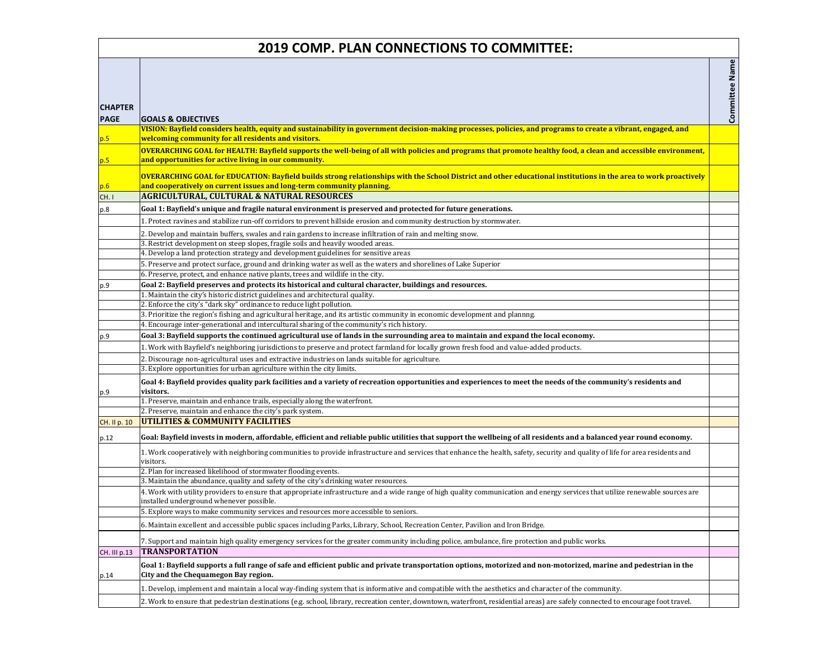| <b>2019 COMP. PLAN CONNECTIONS TO COMMITTEE:</b> |                                                                                                                                                                                                                                                                                         |                |  |
|--------------------------------------------------|-----------------------------------------------------------------------------------------------------------------------------------------------------------------------------------------------------------------------------------------------------------------------------------------|----------------|--|
| <b>CHAPTER</b><br><b>PAGE</b>                    | <b>GOALS &amp; OBJECTIVES</b>                                                                                                                                                                                                                                                           | Committee Name |  |
| p.5                                              | VISION: Bayfield considers health, equity and sustainability in government decision-making processes, policies, and programs to create a vibrant, engaged, and<br>welcoming community for all residents and visitors.                                                                   |                |  |
| p.5                                              | OVERARCHING GOAL for HEALTH: Bayfield supports the well-being of all with policies and programs that promote healthy food, a clean and accessible environment,<br>and opportunities for active living in our community.                                                                 |                |  |
| p.6<br>CH.I                                      | OVERARCHING GOAL for EDUCATION: Bayfield builds strong relationships with the School District and other educational institutions in the area to work proactively<br>and cooperatively on current issues and long-term community planning.<br>AGRICULTURAL, CULTURAL & NATURAL RESOURCES |                |  |
| p.8                                              | Goal 1: Bayfield's unique and fragile natural environment is preserved and protected for future generations.                                                                                                                                                                            |                |  |
|                                                  | . Protect ravines and stabilize run-off corridors to prevent hillside erosion and community destruction by stormwater.                                                                                                                                                                  |                |  |
|                                                  |                                                                                                                                                                                                                                                                                         |                |  |
|                                                  | 2. Develop and maintain buffers, swales and rain gardens to increase infiltration of rain and melting snow.<br>3. Restrict development on steep slopes, fragile soils and heavily wooded areas.                                                                                         |                |  |
|                                                  | 4. Develop a land protection strategy and development guidelines for sensitive areas                                                                                                                                                                                                    |                |  |
|                                                  | 5. Preserve and protect surface, ground and drinking water as well as the waters and shorelines of Lake Superior                                                                                                                                                                        |                |  |
|                                                  | 6. Preserve, protect, and enhance native plants, trees and wildlife in the city.                                                                                                                                                                                                        |                |  |
| p.9                                              | Goal 2: Bayfield preserves and protects its historical and cultural character, buildings and resources.                                                                                                                                                                                 |                |  |
|                                                  | 1. Maintain the city's historic district guidelines and architectural quality.                                                                                                                                                                                                          |                |  |
|                                                  | 2. Enforce the city's "dark sky" ordinance to reduce light pollution.                                                                                                                                                                                                                   |                |  |
|                                                  | $ 3$ . Prioritize the region's fishing and agricultural heritage, and its artistic community in economic development and plannng.                                                                                                                                                       |                |  |
|                                                  | 4. Encourage inter-generational and intercultural sharing of the community's rich history.                                                                                                                                                                                              |                |  |
| p.9                                              | Goal 3: Bayfield supports the continued agricultural use of lands in the surrounding area to maintain and expand the local economy.                                                                                                                                                     |                |  |
|                                                  | 1. Work with Bayfield's neighboring jurisdictions to preserve and protect farmland for locally grown fresh food and value-added products.                                                                                                                                               |                |  |
|                                                  | 2. Discourage non-agricultural uses and extractive industries on lands suitable for agriculture.                                                                                                                                                                                        |                |  |
| p.9                                              | 3. Explore opportunities for urban agriculture within the city limits.<br>Goal 4: Bayfield provides quality park facilities and a variety of recreation opportunities and experiences to meet the needs of the community's residents and<br>visitors.                                   |                |  |
|                                                  | 1. Preserve, maintain and enhance trails, especially along the waterfront.                                                                                                                                                                                                              |                |  |
|                                                  | 2. Preserve, maintain and enhance the city's park system.                                                                                                                                                                                                                               |                |  |
| <b>CH.</b> II p. 10                              | <b>UTILITIES &amp; COMMUNITY FACILITIES</b>                                                                                                                                                                                                                                             |                |  |
| p.12                                             | Goal: Bayfield invests in modern, affordable, efficient and reliable public utilities that support the wellbeing of all residents and a balanced year round economy.                                                                                                                    |                |  |
|                                                  | 1. Work cooperatively with neighboring communities to provide infrastructure and services that enhance the health, safety, security and quality of life for area residents and<br>visitors.                                                                                             |                |  |
|                                                  | 2. Plan for increased likelihood of stormwater flooding events.                                                                                                                                                                                                                         |                |  |
|                                                  | 3. Maintain the abundance, quality and safety of the city's drinking water resources.                                                                                                                                                                                                   |                |  |
|                                                  | 4. Work with utility providers to ensure that appropriate infrastructure and a wide range of high quality communication and energy services that utilize renewable sources are<br>installed underground whenever possible.                                                              |                |  |
|                                                  | 5. Explore ways to make community services and resources more accessible to seniors.                                                                                                                                                                                                    |                |  |
|                                                  | 6. Maintain excellent and accessible public spaces including Parks, Library, School, Recreation Center, Pavilion and Iron Bridge.                                                                                                                                                       |                |  |
|                                                  | 7. Support and maintain high quality emergency services for the greater community including police, ambulance, fire protection and public works.                                                                                                                                        |                |  |
| CH. III p.13                                     | <b>TRANSPORTATION</b>                                                                                                                                                                                                                                                                   |                |  |
| p.14                                             | Goal 1: Bayfield supports a full range of safe and efficient public and private transportation options, motorized and non-motorized, marine and pedestrian in the<br>City and the Chequamegon Bay region.                                                                               |                |  |
|                                                  | 1. Develop, implement and maintain a local way-finding system that is informative and compatible with the aesthetics and character of the community.                                                                                                                                    |                |  |
|                                                  | 2. Work to ensure that pedestrian destinations (e.g. school, library, recreation center, downtown, waterfront, residential areas) are safely connected to encourage foot travel.                                                                                                        |                |  |
|                                                  |                                                                                                                                                                                                                                                                                         |                |  |